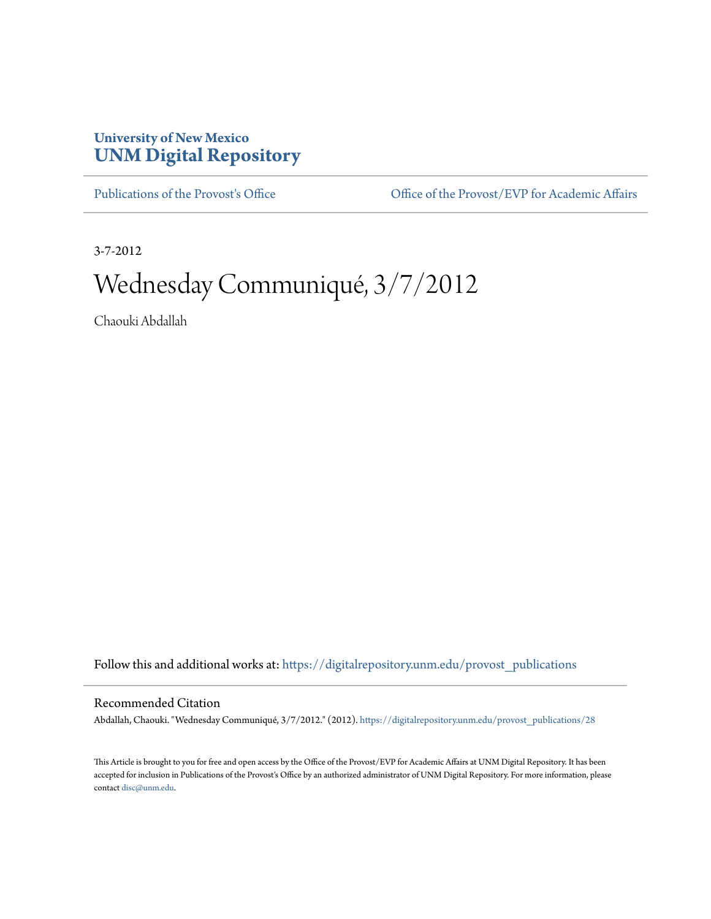## **University of New Mexico [UNM Digital Repository](https://digitalrepository.unm.edu?utm_source=digitalrepository.unm.edu%2Fprovost_publications%2F28&utm_medium=PDF&utm_campaign=PDFCoverPages)**

[Publications of the Provost's Office](https://digitalrepository.unm.edu/provost_publications?utm_source=digitalrepository.unm.edu%2Fprovost_publications%2F28&utm_medium=PDF&utm_campaign=PDFCoverPages) Office [Office of the Provost/EVP for Academic Affairs](https://digitalrepository.unm.edu/ofc_provost?utm_source=digitalrepository.unm.edu%2Fprovost_publications%2F28&utm_medium=PDF&utm_campaign=PDFCoverPages)

3-7-2012

# Wednesday Communiqué, 3/7/2012

Chaouki Abdallah

Follow this and additional works at: [https://digitalrepository.unm.edu/provost\\_publications](https://digitalrepository.unm.edu/provost_publications?utm_source=digitalrepository.unm.edu%2Fprovost_publications%2F28&utm_medium=PDF&utm_campaign=PDFCoverPages)

#### Recommended Citation

Abdallah, Chaouki. "Wednesday Communiqué, 3/7/2012." (2012). [https://digitalrepository.unm.edu/provost\\_publications/28](https://digitalrepository.unm.edu/provost_publications/28?utm_source=digitalrepository.unm.edu%2Fprovost_publications%2F28&utm_medium=PDF&utm_campaign=PDFCoverPages)

This Article is brought to you for free and open access by the Office of the Provost/EVP for Academic Affairs at UNM Digital Repository. It has been accepted for inclusion in Publications of the Provost's Office by an authorized administrator of UNM Digital Repository. For more information, please contact [disc@unm.edu.](mailto:disc@unm.edu)